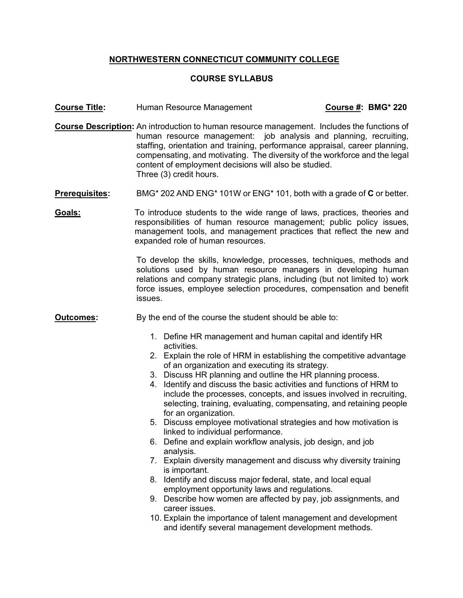## **NORTHWESTERN CONNECTICUT COMMUNITY COLLEGE**

## **COURSE SYLLABUS**

- **Course Title:** Human Resource Management **Course #: BMG\* 220**
- **Course Description:** An introduction to human resource management. Includes the functions of human resource management: job analysis and planning, recruiting, staffing, orientation and training, performance appraisal, career planning, compensating, and motivating. The diversity of the workforce and the legal content of employment decisions will also be studied. Three (3) credit hours.
- **Prerequisites:** BMG\* 202 AND ENG\* 101W or ENG\* 101, both with a grade of **C** or better.
- **Goals:** To introduce students to the wide range of laws, practices, theories and responsibilities of human resource management; public policy issues, management tools, and management practices that reflect the new and expanded role of human resources.

To develop the skills, knowledge, processes, techniques, methods and solutions used by human resource managers in developing human relations and company strategic plans, including (but not limited to) work force issues, employee selection procedures, compensation and benefit issues.

- **Outcomes:** By the end of the course the student should be able to:
	- 1. Define HR management and human capital and identify HR activities.
	- 2. Explain the role of HRM in establishing the competitive advantage of an organization and executing its strategy.
	- 3. Discuss HR planning and outline the HR planning process.
	- 4. Identify and discuss the basic activities and functions of HRM to include the processes, concepts, and issues involved in recruiting, selecting, training, evaluating, compensating, and retaining people for an organization.
	- 5. Discuss employee motivational strategies and how motivation is linked to individual performance.
	- 6. Define and explain workflow analysis, job design, and job analysis.
	- 7. Explain diversity management and discuss why diversity training is important.
	- 8. Identify and discuss major federal, state, and local equal employment opportunity laws and regulations.
	- 9. Describe how women are affected by pay, job assignments, and career issues.
	- 10. Explain the importance of talent management and development and identify several management development methods.